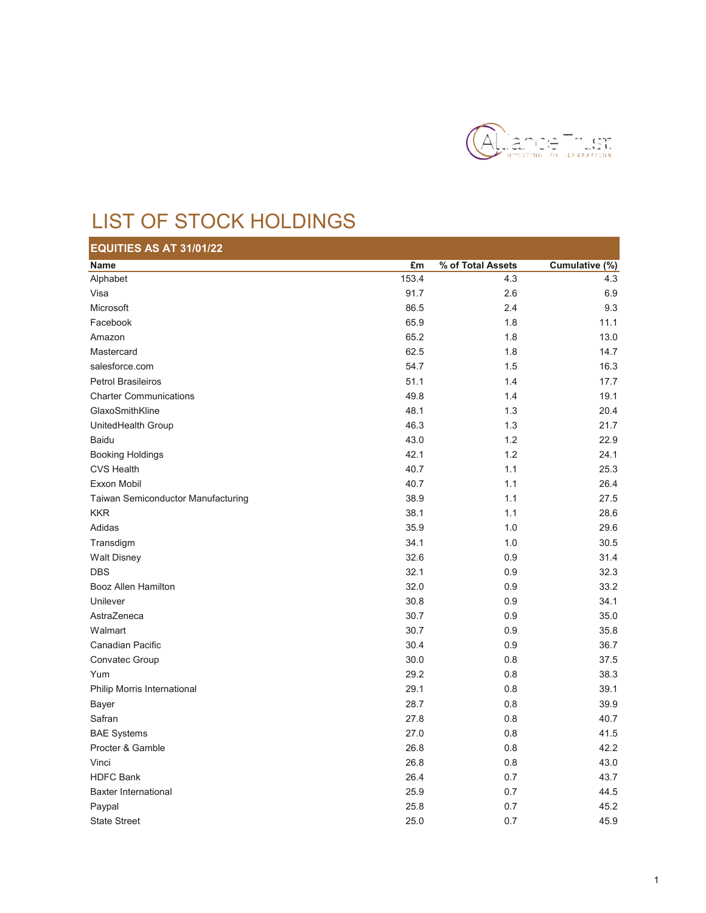

## LIST OF STOCK HOLDINGS

| EQUITIES AS AT 31/01/22            |       |                   |                |
|------------------------------------|-------|-------------------|----------------|
| <b>Name</b>                        | £m    | % of Total Assets | Cumulative (%) |
| Alphabet                           | 153.4 | 4.3               | 4.3            |
| Visa                               | 91.7  | 2.6               | 6.9            |
| Microsoft                          | 86.5  | 2.4               | 9.3            |
| Facebook                           | 65.9  | 1.8               | 11.1           |
| Amazon                             | 65.2  | 1.8               | 13.0           |
| Mastercard                         | 62.5  | 1.8               | 14.7           |
| salesforce.com                     | 54.7  | 1.5               | 16.3           |
| <b>Petrol Brasileiros</b>          | 51.1  | 1.4               | 17.7           |
| <b>Charter Communications</b>      | 49.8  | 1.4               | 19.1           |
| GlaxoSmithKline                    | 48.1  | 1.3               | 20.4           |
| UnitedHealth Group                 | 46.3  | 1.3               | 21.7           |
| <b>Baidu</b>                       | 43.0  | 1.2               | 22.9           |
| <b>Booking Holdings</b>            | 42.1  | 1.2               | 24.1           |
| <b>CVS Health</b>                  | 40.7  | 1.1               | 25.3           |
| Exxon Mobil                        | 40.7  | 1.1               | 26.4           |
| Taiwan Semiconductor Manufacturing | 38.9  | 1.1               | 27.5           |
| <b>KKR</b>                         | 38.1  | 1.1               | 28.6           |
| Adidas                             | 35.9  | 1.0               | 29.6           |
| Transdigm                          | 34.1  | 1.0               | 30.5           |
| <b>Walt Disney</b>                 | 32.6  | 0.9               | 31.4           |
| <b>DBS</b>                         | 32.1  | 0.9               | 32.3           |
| Booz Allen Hamilton                | 32.0  | 0.9               | 33.2           |
| Unilever                           | 30.8  | 0.9               | 34.1           |
| AstraZeneca                        | 30.7  | 0.9               | 35.0           |
| Walmart                            | 30.7  | 0.9               | 35.8           |
| Canadian Pacific                   | 30.4  | 0.9               | 36.7           |
| Convatec Group                     | 30.0  | 0.8               | 37.5           |
| Yum                                | 29.2  | 0.8               | 38.3           |
| Philip Morris International        | 29.1  | 0.8               | 39.1           |
| Bayer                              | 28.7  | 0.8               | 39.9           |
| Safran                             | 27.8  | 0.8               | 40.7           |
| <b>BAE Systems</b>                 | 27.0  | 0.8               | 41.5           |
| Procter & Gamble                   | 26.8  | 0.8               | 42.2           |
| Vinci                              | 26.8  | 0.8               | 43.0           |
| <b>HDFC Bank</b>                   | 26.4  | 0.7               | 43.7           |
| <b>Baxter International</b>        | 25.9  | 0.7               | 44.5           |
| Paypal                             | 25.8  | 0.7               | 45.2           |
| <b>State Street</b>                | 25.0  | 0.7               | 45.9           |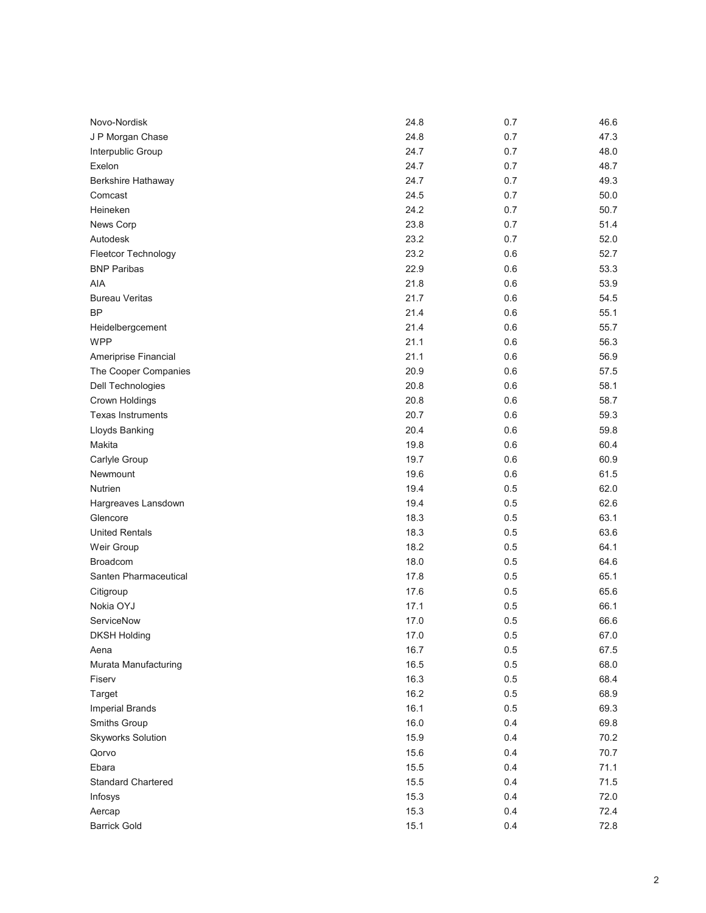| Novo-Nordisk              | 24.8 | 0.7 | 46.6 |
|---------------------------|------|-----|------|
| J P Morgan Chase          | 24.8 | 0.7 | 47.3 |
| Interpublic Group         | 24.7 | 0.7 | 48.0 |
| Exelon                    | 24.7 | 0.7 | 48.7 |
| Berkshire Hathaway        | 24.7 | 0.7 | 49.3 |
| Comcast                   | 24.5 | 0.7 | 50.0 |
| Heineken                  | 24.2 | 0.7 | 50.7 |
| News Corp                 | 23.8 | 0.7 | 51.4 |
| Autodesk                  | 23.2 | 0.7 | 52.0 |
| Fleetcor Technology       | 23.2 | 0.6 | 52.7 |
| <b>BNP Paribas</b>        | 22.9 | 0.6 | 53.3 |
| AIA                       | 21.8 | 0.6 | 53.9 |
| <b>Bureau Veritas</b>     | 21.7 | 0.6 | 54.5 |
| <b>BP</b>                 | 21.4 | 0.6 | 55.1 |
| Heidelbergcement          | 21.4 | 0.6 | 55.7 |
| <b>WPP</b>                | 21.1 | 0.6 | 56.3 |
| Ameriprise Financial      | 21.1 | 0.6 | 56.9 |
| The Cooper Companies      | 20.9 | 0.6 | 57.5 |
| Dell Technologies         | 20.8 | 0.6 | 58.1 |
| Crown Holdings            | 20.8 | 0.6 | 58.7 |
| <b>Texas Instruments</b>  | 20.7 | 0.6 | 59.3 |
| Lloyds Banking            | 20.4 | 0.6 | 59.8 |
| Makita                    | 19.8 | 0.6 | 60.4 |
| Carlyle Group             | 19.7 | 0.6 | 60.9 |
| Newmount                  | 19.6 | 0.6 | 61.5 |
| Nutrien                   | 19.4 | 0.5 | 62.0 |
| Hargreaves Lansdown       | 19.4 | 0.5 | 62.6 |
| Glencore                  | 18.3 | 0.5 | 63.1 |
| <b>United Rentals</b>     | 18.3 | 0.5 | 63.6 |
| Weir Group                | 18.2 | 0.5 | 64.1 |
| <b>Broadcom</b>           | 18.0 | 0.5 | 64.6 |
| Santen Pharmaceutical     | 17.8 | 0.5 | 65.1 |
| Citigroup                 | 17.6 | 0.5 | 65.6 |
| Nokia OYJ                 | 17.1 | 0.5 | 66.1 |
| ServiceNow                | 17.0 | 0.5 | 66.6 |
| <b>DKSH Holding</b>       | 17.0 | 0.5 | 67.0 |
| Aena                      | 16.7 | 0.5 | 67.5 |
| Murata Manufacturing      | 16.5 | 0.5 | 68.0 |
| Fiserv                    | 16.3 | 0.5 | 68.4 |
| Target                    | 16.2 | 0.5 | 68.9 |
| <b>Imperial Brands</b>    | 16.1 | 0.5 | 69.3 |
| Smiths Group              | 16.0 | 0.4 | 69.8 |
| <b>Skyworks Solution</b>  | 15.9 | 0.4 | 70.2 |
| Qorvo                     | 15.6 | 0.4 | 70.7 |
| Ebara                     | 15.5 | 0.4 | 71.1 |
| <b>Standard Chartered</b> | 15.5 | 0.4 | 71.5 |
| Infosys                   | 15.3 | 0.4 | 72.0 |
| Aercap                    | 15.3 | 0.4 | 72.4 |
| <b>Barrick Gold</b>       | 15.1 | 0.4 | 72.8 |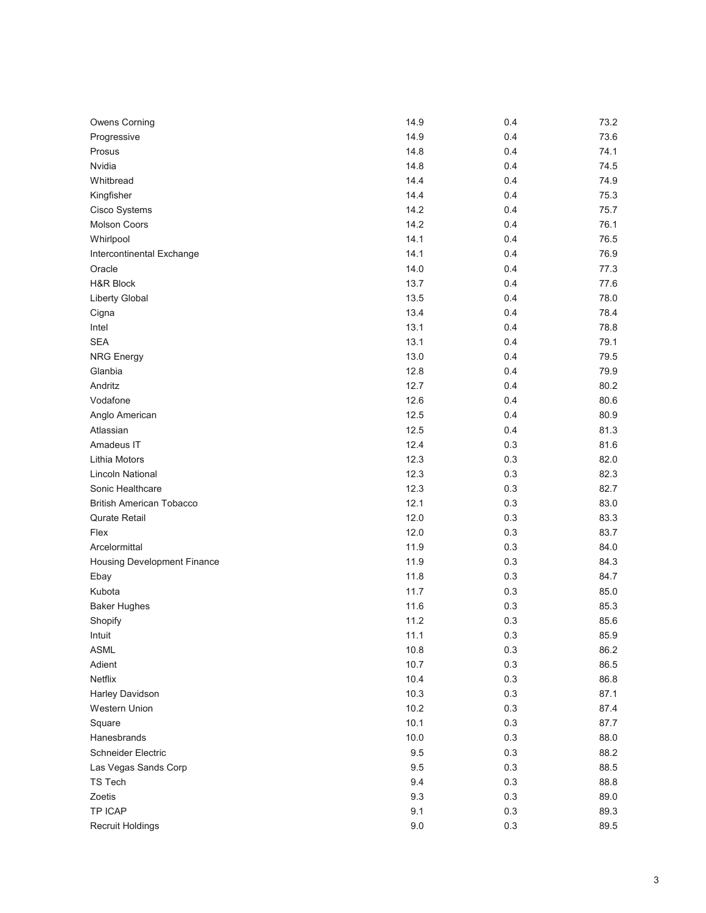| <b>Owens Corning</b>            | 14.9 | 0.4 | 73.2 |
|---------------------------------|------|-----|------|
| Progressive                     | 14.9 | 0.4 | 73.6 |
| Prosus                          | 14.8 | 0.4 | 74.1 |
| Nvidia                          | 14.8 | 0.4 | 74.5 |
| Whitbread                       | 14.4 | 0.4 | 74.9 |
| Kingfisher                      | 14.4 | 0.4 | 75.3 |
| Cisco Systems                   | 14.2 | 0.4 | 75.7 |
| <b>Molson Coors</b>             | 14.2 | 0.4 | 76.1 |
| Whirlpool                       | 14.1 | 0.4 | 76.5 |
| Intercontinental Exchange       | 14.1 | 0.4 | 76.9 |
| Oracle                          | 14.0 | 0.4 | 77.3 |
| <b>H&amp;R Block</b>            | 13.7 | 0.4 | 77.6 |
| Liberty Global                  | 13.5 | 0.4 | 78.0 |
| Cigna                           | 13.4 | 0.4 | 78.4 |
| Intel                           | 13.1 | 0.4 | 78.8 |
| <b>SEA</b>                      | 13.1 | 0.4 | 79.1 |
| <b>NRG Energy</b>               | 13.0 | 0.4 | 79.5 |
| Glanbia                         | 12.8 | 0.4 | 79.9 |
| Andritz                         | 12.7 | 0.4 | 80.2 |
| Vodafone                        | 12.6 | 0.4 | 80.6 |
| Anglo American                  | 12.5 | 0.4 | 80.9 |
| Atlassian                       | 12.5 | 0.4 | 81.3 |
| Amadeus IT                      | 12.4 | 0.3 | 81.6 |
| Lithia Motors                   | 12.3 | 0.3 | 82.0 |
| <b>Lincoln National</b>         | 12.3 | 0.3 | 82.3 |
| Sonic Healthcare                | 12.3 | 0.3 | 82.7 |
| <b>British American Tobacco</b> | 12.1 | 0.3 | 83.0 |
| Qurate Retail                   | 12.0 | 0.3 | 83.3 |
| Flex                            | 12.0 | 0.3 | 83.7 |
| Arcelormittal                   | 11.9 | 0.3 | 84.0 |
| Housing Development Finance     | 11.9 | 0.3 | 84.3 |
| Ebay                            | 11.8 | 0.3 | 84.7 |
| Kubota                          | 11.7 | 0.3 | 85.0 |
| <b>Baker Hughes</b>             | 11.6 | 0.3 | 85.3 |
| Shopify                         | 11.2 | 0.3 | 85.6 |
| Intuit                          | 11.1 | 0.3 | 85.9 |
| ASML                            | 10.8 | 0.3 | 86.2 |
| Adient                          | 10.7 | 0.3 | 86.5 |
| Netflix                         | 10.4 | 0.3 | 86.8 |
| Harley Davidson                 | 10.3 | 0.3 | 87.1 |
| Western Union                   | 10.2 | 0.3 | 87.4 |
| Square                          | 10.1 | 0.3 | 87.7 |
| Hanesbrands                     | 10.0 | 0.3 | 88.0 |
| Schneider Electric              | 9.5  | 0.3 | 88.2 |
| Las Vegas Sands Corp            | 9.5  | 0.3 | 88.5 |
| TS Tech                         | 9.4  | 0.3 | 88.8 |
| Zoetis                          | 9.3  | 0.3 | 89.0 |
| TP ICAP                         | 9.1  | 0.3 | 89.3 |
| Recruit Holdings                | 9.0  | 0.3 | 89.5 |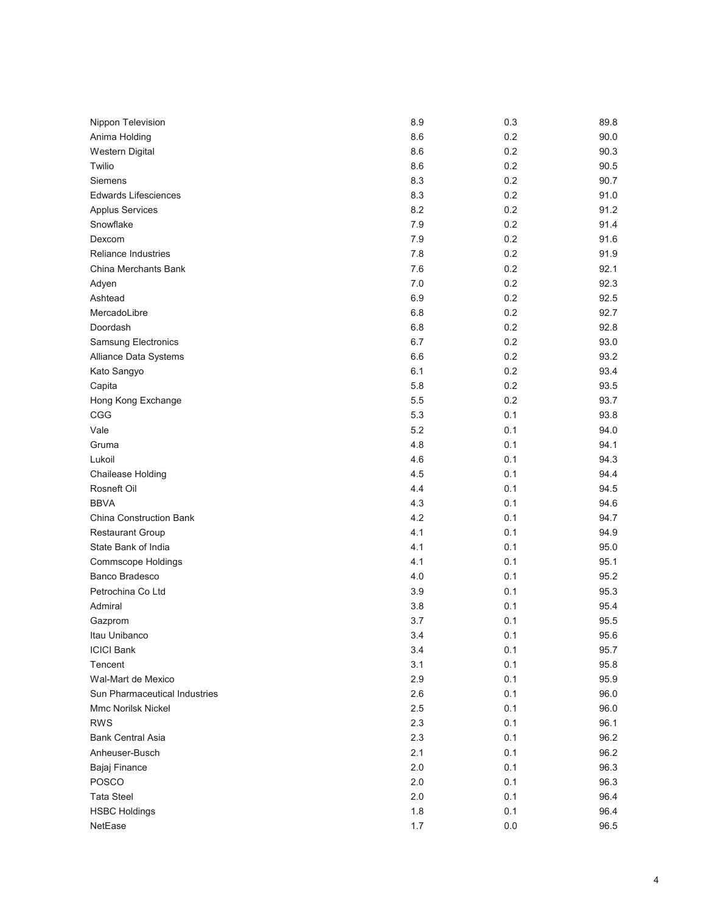| Nippon Television             | 8.9 | 0.3     | 89.8 |
|-------------------------------|-----|---------|------|
| Anima Holding                 | 8.6 | 0.2     | 90.0 |
| Western Digital               | 8.6 | 0.2     | 90.3 |
| Twilio                        | 8.6 | 0.2     | 90.5 |
| Siemens                       | 8.3 | 0.2     | 90.7 |
| <b>Edwards Lifesciences</b>   | 8.3 | 0.2     | 91.0 |
| <b>Applus Services</b>        | 8.2 | 0.2     | 91.2 |
| Snowflake                     | 7.9 | 0.2     | 91.4 |
| Dexcom                        | 7.9 | 0.2     | 91.6 |
| <b>Reliance Industries</b>    | 7.8 | 0.2     | 91.9 |
| China Merchants Bank          | 7.6 | 0.2     | 92.1 |
| Adyen                         | 7.0 | 0.2     | 92.3 |
| Ashtead                       | 6.9 | 0.2     | 92.5 |
| MercadoLibre                  | 6.8 | 0.2     | 92.7 |
| Doordash                      | 6.8 | 0.2     | 92.8 |
| Samsung Electronics           | 6.7 | 0.2     | 93.0 |
| Alliance Data Systems         | 6.6 | 0.2     | 93.2 |
| Kato Sangyo                   | 6.1 | 0.2     | 93.4 |
| Capita                        | 5.8 | 0.2     | 93.5 |
| Hong Kong Exchange            | 5.5 | 0.2     | 93.7 |
| CGG                           | 5.3 | 0.1     | 93.8 |
| Vale                          | 5.2 | 0.1     | 94.0 |
| Gruma                         | 4.8 | 0.1     | 94.1 |
| Lukoil                        | 4.6 | 0.1     | 94.3 |
| Chailease Holding             | 4.5 | 0.1     | 94.4 |
| Rosneft Oil                   | 4.4 | 0.1     | 94.5 |
| <b>BBVA</b>                   | 4.3 | 0.1     | 94.6 |
| China Construction Bank       | 4.2 | 0.1     | 94.7 |
| <b>Restaurant Group</b>       | 4.1 | 0.1     | 94.9 |
| State Bank of India           | 4.1 | 0.1     | 95.0 |
| <b>Commscope Holdings</b>     | 4.1 | 0.1     | 95.1 |
| Banco Bradesco                | 4.0 | 0.1     | 95.2 |
| Petrochina Co Ltd             | 3.9 | 0.1     | 95.3 |
| Admiral                       | 3.8 | 0.1     | 95.4 |
| Gazprom                       | 3.7 | 0.1     | 95.5 |
| Itau Unibanco                 | 3.4 | 0.1     | 95.6 |
| <b>ICICI Bank</b>             | 3.4 | 0.1     | 95.7 |
| Tencent                       | 3.1 | 0.1     | 95.8 |
| Wal-Mart de Mexico            | 2.9 | 0.1     | 95.9 |
| Sun Pharmaceutical Industries | 2.6 | 0.1     | 96.0 |
| <b>Mmc Norilsk Nickel</b>     | 2.5 | 0.1     | 96.0 |
| <b>RWS</b>                    | 2.3 | 0.1     | 96.1 |
| <b>Bank Central Asia</b>      | 2.3 | 0.1     | 96.2 |
| Anheuser-Busch                | 2.1 | 0.1     | 96.2 |
| Bajaj Finance                 | 2.0 | 0.1     | 96.3 |
| POSCO                         | 2.0 | 0.1     | 96.3 |
| <b>Tata Steel</b>             | 2.0 | 0.1     | 96.4 |
| <b>HSBC Holdings</b>          | 1.8 | 0.1     | 96.4 |
| NetEase                       | 1.7 | $0.0\,$ | 96.5 |